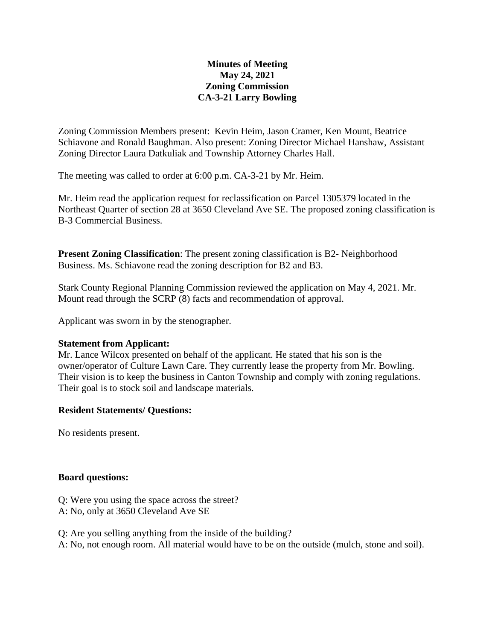## **Minutes of Meeting May 24, 2021 Zoning Commission CA-3-21 Larry Bowling**

Zoning Commission Members present: Kevin Heim, Jason Cramer, Ken Mount, Beatrice Schiavone and Ronald Baughman. Also present: Zoning Director Michael Hanshaw, Assistant Zoning Director Laura Datkuliak and Township Attorney Charles Hall.

The meeting was called to order at 6:00 p.m. CA-3-21 by Mr. Heim.

Mr. Heim read the application request for reclassification on Parcel 1305379 located in the Northeast Quarter of section 28 at 3650 Cleveland Ave SE. The proposed zoning classification is B-3 Commercial Business.

**Present Zoning Classification**: The present zoning classification is B2- Neighborhood Business. Ms. Schiavone read the zoning description for B2 and B3.

Stark County Regional Planning Commission reviewed the application on May 4, 2021. Mr. Mount read through the SCRP (8) facts and recommendation of approval.

Applicant was sworn in by the stenographer.

#### **Statement from Applicant:**

Mr. Lance Wilcox presented on behalf of the applicant. He stated that his son is the owner/operator of Culture Lawn Care. They currently lease the property from Mr. Bowling. Their vision is to keep the business in Canton Township and comply with zoning regulations. Their goal is to stock soil and landscape materials.

## **Resident Statements/ Questions:**

No residents present.

#### **Board questions:**

- Q: Were you using the space across the street?
- A: No, only at 3650 Cleveland Ave SE
- Q: Are you selling anything from the inside of the building?
- A: No, not enough room. All material would have to be on the outside (mulch, stone and soil).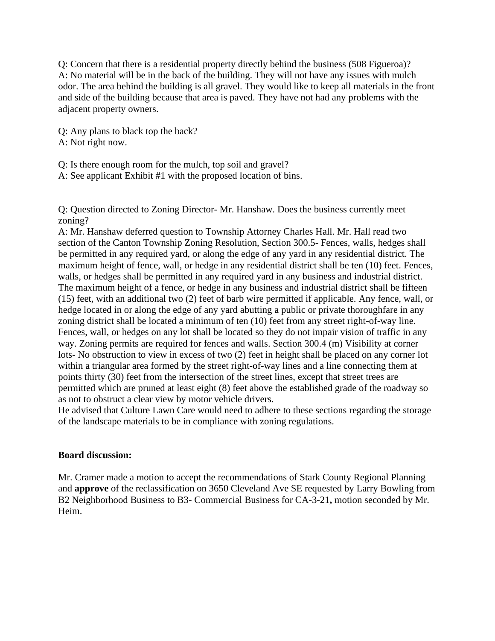Q: Concern that there is a residential property directly behind the business (508 Figueroa)? A: No material will be in the back of the building. They will not have any issues with mulch odor. The area behind the building is all gravel. They would like to keep all materials in the front and side of the building because that area is paved. They have not had any problems with the adjacent property owners.

Q: Any plans to black top the back?

A: Not right now.

Q: Is there enough room for the mulch, top soil and gravel?

A: See applicant Exhibit #1 with the proposed location of bins.

Q: Question directed to Zoning Director- Mr. Hanshaw. Does the business currently meet zoning?

A: Mr. Hanshaw deferred question to Township Attorney Charles Hall. Mr. Hall read two section of the Canton Township Zoning Resolution, Section 300.5- Fences, walls, hedges shall be permitted in any required yard, or along the edge of any yard in any residential district. The maximum height of fence, wall, or hedge in any residential district shall be ten (10) feet. Fences, walls, or hedges shall be permitted in any required yard in any business and industrial district. The maximum height of a fence, or hedge in any business and industrial district shall be fifteen (15) feet, with an additional two (2) feet of barb wire permitted if applicable. Any fence, wall, or hedge located in or along the edge of any yard abutting a public or private thoroughfare in any zoning district shall be located a minimum of ten (10) feet from any street right-of-way line. Fences, wall, or hedges on any lot shall be located so they do not impair vision of traffic in any way. Zoning permits are required for fences and walls. Section 300.4 (m) Visibility at corner lots- No obstruction to view in excess of two (2) feet in height shall be placed on any corner lot within a triangular area formed by the street right-of-way lines and a line connecting them at points thirty (30) feet from the intersection of the street lines, except that street trees are permitted which are pruned at least eight (8) feet above the established grade of the roadway so as not to obstruct a clear view by motor vehicle drivers.

He advised that Culture Lawn Care would need to adhere to these sections regarding the storage of the landscape materials to be in compliance with zoning regulations.

#### **Board discussion:**

Mr. Cramer made a motion to accept the recommendations of Stark County Regional Planning and **approve** of the reclassification on 3650 Cleveland Ave SE requested by Larry Bowling from B2 Neighborhood Business to B3- Commercial Business for CA-3-21**,** motion seconded by Mr. Heim.